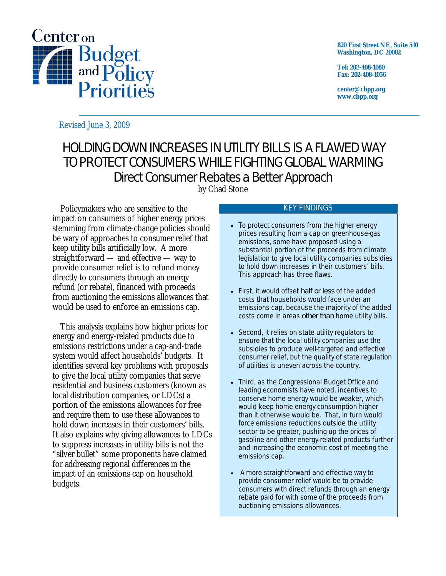

**820 First Street NE, Suite 510 Washington, DC 20002** 

**Tel: 202-408-1080 Fax: 202-408-1056** 

**center@cbpp.org www.cbpp.org** 

Revised June 3, 2009

# HOLDING DOWN INCREASES IN UTILITY BILLS IS A FLAWED WAY TO PROTECT CONSUMERS WHILE FIGHTING GLOBAL WARMING Direct Consumer Rebates a Better Approach

by Chad Stone

Policymakers who are sensitive to the impact on consumers of higher energy prices stemming from climate-change policies should be wary of approaches to consumer relief that keep utility bills artificially low. A more straightforward — and effective — way to provide consumer relief is to refund money directly to consumers through an energy refund (or rebate), financed with proceeds from auctioning the emissions allowances that would be used to enforce an emissions cap.

This analysis explains how higher prices for energy and energy-related products due to emissions restrictions under a cap-and-trade system would affect households' budgets. It identifies several key problems with proposals to give the local utility companies that serve residential and business customers (known as local distribution companies, or LDCs) a portion of the emissions allowances for free and require them to use these allowances to hold down increases in their customers' bills. It also explains why giving allowances to LDCs to suppress increases in utility bills is not the "silver bullet" some proponents have claimed for addressing regional differences in the impact of an emissions cap on household budgets.

#### KEY FINDINGS

- To protect consumers from the higher energy prices resulting from a cap on greenhouse-gas emissions, some have proposed using a substantial portion of the proceeds from climate legislation to give local utility companies subsidies to hold down increases in their customers' bills. This approach has three flaws.
- First, it would offset *half or less* of the added costs that households would face under an emissions cap, because the majority of the added costs come in areas *other than* home utility bills.
- Second, it relies on state utility regulators to ensure that the local utility companies use the subsidies to produce well-targeted and effective consumer relief, but the quality of state regulation of utilities is uneven across the country.
- Third, as the Congressional Budget Office and leading economists have noted, incentives to conserve home energy would be weaker, which would keep home energy consumption higher than it otherwise would be. That, in turn would force emissions reductions outside the utility sector to be greater, pushing up the prices of gasoline and other energy-related products further and increasing the economic cost of meeting the emissions cap.
- A more straightforward and effective way to provide consumer relief would be to provide consumers with direct refunds through an energy rebate paid for with some of the proceeds from auctioning emissions allowances.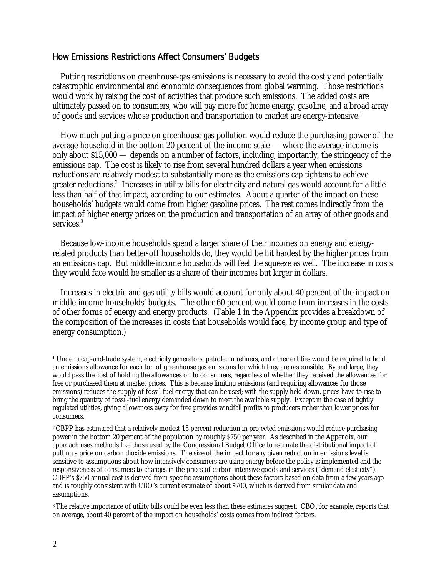### How Emissions Restrictions Affect Consumers' Budgets

Putting restrictions on greenhouse-gas emissions is necessary to avoid the costly and potentially catastrophic environmental and economic consequences from global warming. Those restrictions would work by raising the cost of activities that produce such emissions. The added costs are ultimately passed on to consumers, who will pay more for home energy, gasoline, and a broad array of goods and services whose production and transportation to market are energy-intensive.<sup>1</sup>

How much putting a price on greenhouse gas pollution would reduce the purchasing power of the average household in the bottom 20 percent of the income scale — where the average income is only about \$15,000 — depends on a number of factors, including, importantly, the stringency of the emissions cap. The cost is likely to rise from several hundred dollars a year when emissions reductions are relatively modest to substantially more as the emissions cap tightens to achieve greater reductions.<sup>2</sup> Increases in utility bills for electricity and natural gas would account for a little less than half of that impact, according to our estimates. About a quarter of the impact on these households' budgets would come from higher gasoline prices. The rest comes indirectly from the impact of higher energy prices on the production and transportation of an array of other goods and services.<sup>3</sup>

Because low-income households spend a larger share of their incomes on energy and energyrelated products than better-off households do, they would be hit hardest by the higher prices from an emissions cap. But middle-income households will feel the squeeze as well. The increase in costs they would face would be smaller as a share of their incomes but larger in dollars.

Increases in electric and gas utility bills would account for only about 40 percent of the impact on middle-income households' budgets. The other 60 percent would come from increases in the costs of other forms of energy and energy products. (Table 1 in the Appendix provides a breakdown of the composition of the increases in costs that households would face, by income group and type of energy consumption.)

 $\overline{a}$ 1 Under a cap-and-trade system, electricity generators, petroleum refiners, and other entities would be required to hold an emissions allowance for each ton of greenhouse gas emissions for which they are responsible. By and large, they would pass the cost of holding the allowances on to consumers, regardless of whether they received the allowances for free or purchased them at market prices. This is because limiting emissions (and requiring allowances for those emissions) reduces the supply of fossil-fuel energy that can be used; with the supply held down, prices have to rise to bring the quantity of fossil-fuel energy demanded down to meet the available supply. Except in the case of tightly regulated utilities, giving allowances away for free provides windfall profits to producers rather than lower prices for consumers.

<sup>&</sup>lt;sup>2</sup> CBPP has estimated that a relatively modest 15 percent reduction in projected emissions would reduce purchasing power in the bottom 20 percent of the population by roughly \$750 per year. As described in the Appendix, our approach uses methods like those used by the Congressional Budget Office to estimate the distributional impact of putting a price on carbon dioxide emissions. The size of the impact for any given reduction in emissions level is sensitive to assumptions about how intensively consumers are using energy before the policy is implemented and the responsiveness of consumers to changes in the prices of carbon-intensive goods and services ("demand elasticity"). CBPP's \$750 annual cost is derived from specific assumptions about these factors based on data from a few years ago and is roughly consistent with CBO's current estimate of about \$700, which is derived from similar data and assumptions.

<sup>3</sup> The relative importance of utility bills could be even less than these estimates suggest. CBO, for example, reports that on average, about 40 percent of the impact on households' costs comes from indirect factors.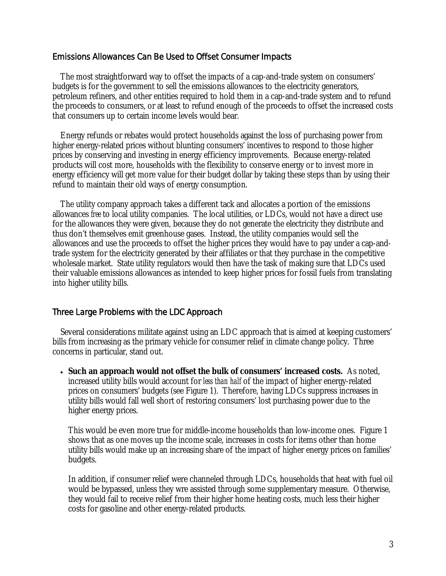#### Emissions Allowances Can Be Used to Offset Consumer Impacts

The most straightforward way to offset the impacts of a cap-and-trade system on consumers' budgets is for the government to sell the emissions allowances to the electricity generators, petroleum refiners, and other entities required to hold them in a cap-and-trade system and to refund the proceeds to consumers, or at least to refund enough of the proceeds to offset the increased costs that consumers up to certain income levels would bear.

Energy refunds or rebates would protect households against the loss of purchasing power from higher energy-related prices without blunting consumers' incentives to respond to those higher prices by conserving and investing in energy efficiency improvements. Because energy-related products will cost more, households with the flexibility to conserve energy or to invest more in energy efficiency will get more value for their budget dollar by taking these steps than by using their refund to maintain their old ways of energy consumption.

The utility company approach takes a different tack and allocates a portion of the emissions allowances *free* to local utility companies. The local utilities, or LDCs, would not have a direct use for the allowances they were given, because they do not generate the electricity they distribute and thus don't themselves emit greenhouse gases. Instead, the utility companies would sell the allowances and use the proceeds to offset the higher prices they would have to pay under a cap-andtrade system for the electricity generated by their affiliates or that they purchase in the competitive wholesale market. State utility regulators would then have the task of making sure that LDCs used their valuable emissions allowances as intended to keep higher prices for fossil fuels from translating into higher utility bills.

#### Three Large Problems with the LDC Approach

Several considerations militate against using an LDC approach that is aimed at keeping customers' bills from increasing as the primary vehicle for consumer relief in climate change policy. Three concerns in particular, stand out.

 **Such an approach would not offset the bulk of consumers' increased costs.** As noted, increased utility bills would account for *less than half* of the impact of higher energy-related prices on consumers' budgets (see Figure 1). Therefore, having LDCs suppress increases in utility bills would fall well short of restoring consumers' lost purchasing power due to the higher energy prices.

This would be even more true for middle-income households than low-income ones. Figure 1 shows that as one moves up the income scale, increases in costs for items other than home utility bills would make up an increasing share of the impact of higher energy prices on families' budgets.

In addition, if consumer relief were channeled through LDCs, households that heat with fuel oil would be bypassed, unless they wre assisted through some supplementary measure. Otherwise, they would fail to receive relief from their higher home heating costs, much less their higher costs for gasoline and other energy-related products.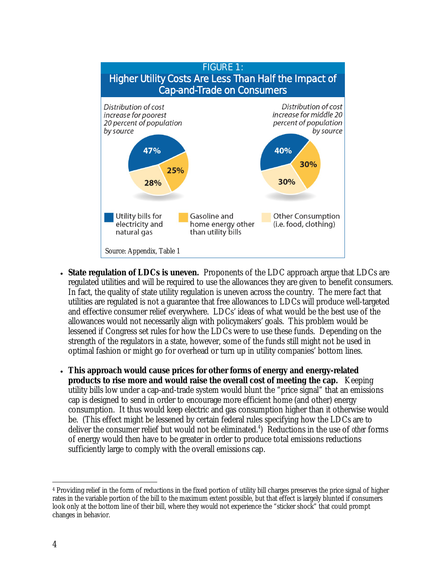

- **State regulation of LDCs is uneven.** Proponents of the LDC approach argue that LDCs are regulated utilities and will be required to use the allowances they are given to benefit consumers. In fact, the quality of state utility regulation is uneven across the country. The mere fact that utilities are regulated is not a guarantee that free allowances to LDCs will produce well-targeted and effective consumer relief everywhere. LDCs' ideas of what would be the best use of the allowances would not necessarily align with policymakers' goals. This problem would be lessened if Congress set rules for how the LDCs were to use these funds. Depending on the strength of the regulators in a state, however, some of the funds still might not be used in optimal fashion or might go for overhead or turn up in utility companies' bottom lines.
- **This approach would cause prices for other forms of energy and energy-related products to rise more and would raise the overall cost of meeting the cap.** Keeping utility bills low under a cap-and-trade system would blunt the "price signal" that an emissions cap is designed to send in order to encourage more efficient home (and other) energy consumption. It thus would keep electric and gas consumption higher than it otherwise would be. (This effect might be lessened by certain federal rules specifying how the LDCs are to deliver the consumer relief but would not be eliminated.<sup>4</sup>) Reductions in the use of *other* forms of energy would then have to be greater in order to produce total emissions reductions sufficiently large to comply with the overall emissions cap.

<sup>-</sup>4 Providing relief in the form of reductions in the fixed portion of utility bill charges preserves the price signal of higher rates in the variable portion of the bill to the maximum extent possible, but that effect is largely blunted if consumers look only at the bottom line of their bill, where they would not experience the "sticker shock" that could prompt changes in behavior.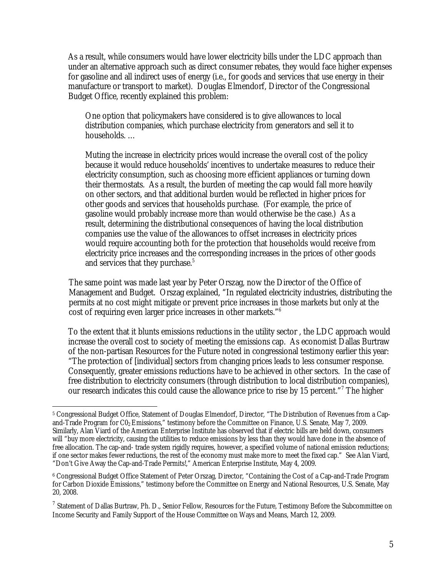As a result, while consumers would have lower electricity bills under the LDC approach than under an alternative approach such as direct consumer rebates, they would face higher expenses for gasoline and all indirect uses of energy (i.e., for goods and services that use energy in their manufacture or transport to market). Douglas Elmendorf, Director of the Congressional Budget Office, recently explained this problem:

One option that policymakers have considered is to give allowances to local distribution companies, which purchase electricity from generators and sell it to households. …

Muting the increase in electricity prices would increase the overall cost of the policy because it would reduce households' incentives to undertake measures to reduce their electricity consumption, such as choosing more efficient appliances or turning down their thermostats. As a result, the burden of meeting the cap would fall more heavily on other sectors, and that additional burden would be reflected in higher prices for other goods and services that households purchase. (For example, the price of gasoline would probably increase more than would otherwise be the case.) As a result, determining the distributional consequences of having the local distribution companies use the value of the allowances to offset increases in electricity prices would require accounting both for the protection that households would receive from electricity price increases and the corresponding increases in the prices of other goods and services that they purchase.<sup>5</sup>

The same point was made last year by Peter Orszag, now the Director of the Office of Management and Budget. Orszag explained, "In regulated electricity industries, distributing the permits at no cost might mitigate or prevent price increases in those markets but only at the cost of requiring even larger price increases in other markets."6

To the extent that it blunts emissions reductions in the utility sector , the LDC approach would increase the overall cost to society of meeting the emissions cap. As economist Dallas Burtraw of the non-partisan Resources for the Future noted in congressional testimony earlier this year: "The protection of [individual] sectors from changing prices leads to less consumer response. Consequently, greater emissions reductions have to be achieved in other sectors. In the case of free distribution to electricity consumers (through distribution to local distribution companies), our research indicates this could cause the allowance price to rise by 15 percent."<sup>7</sup> The higher

<sup>-</sup>5 Congressional Budget Office, Statement of Douglas Elmendorf, Director, "The Distribution of Revenues from a Capand-Trade Program for C0<sub>2</sub> Emissions," testimony before the Committee on Finance, U.S. Senate, May 7, 2009. Similarly, Alan Viard of the American Enterprise Institute has observed that if electric bills are held down, consumers will "buy more electricity, causing the utilities to reduce emissions by less than they would have done in the absence of free allocation. The cap-and- trade system rigidly requires, however, a specified volume of national emission reductions; if one sector makes fewer reductions, the rest of the economy must make more to meet the fixed cap." See Alan Viard, "Don't Give Away the Cap-and-Trade Permits!," American Enterprise Institute, May 4, 2009.

<sup>6</sup> Congressional Budget Office Statement of Peter Orszag, Director, "Containing the Cost of a Cap-and-Trade Program for Carbon Dioxide Emissions," testimony before the Committee on Energy and National Resources, U.S. Senate, May 20, 2008.

 $^7$  Statement of Dallas Burtraw, Ph. D., Senior Fellow, Resources for the Future, Testimony Before the Subcommittee on Income Security and Family Support of the House Committee on Ways and Means, March 12, 2009.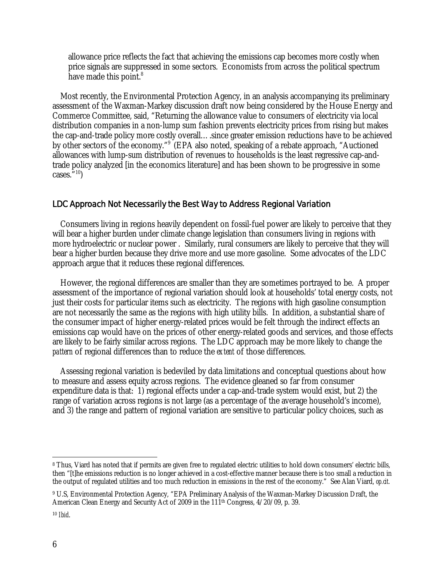allowance price reflects the fact that achieving the emissions cap becomes more costly when price signals are suppressed in some sectors. Economists from across the political spectrum have made this point.<sup>8</sup>

Most recently, the Environmental Protection Agency, in an analysis accompanying its preliminary assessment of the Waxman-Markey discussion draft now being considered by the House Energy and Commerce Committee, said, "Returning the allowance value to consumers of electricity via local distribution companies in a non-lump sum fashion prevents electricity prices from rising but makes the cap-and-trade policy more costly overall….since greater emission reductions have to be achieved by other sectors of the economy."9 (EPA also noted, speaking of a rebate approach, "Auctioned allowances with lump-sum distribution of revenues to households is the least regressive cap-andtrade policy analyzed [in the economics literature] and has been shown to be progressive in some cases. $\overline{5}$ <sup>10</sup>)

## LDC Approach Not Necessarily the Best Way to Address Regional Variation

Consumers living in regions heavily dependent on fossil-fuel power are likely to perceive that they will bear a higher burden under climate change legislation than consumers living in regions with more hydroelectric or nuclear power . Similarly, rural consumers are likely to perceive that they will bear a higher burden because they drive more and use more gasoline. Some advocates of the LDC approach argue that it reduces these regional differences.

However, the regional differences are smaller than they are sometimes portrayed to be. A proper assessment of the importance of regional variation should look at households' total energy costs, not just their costs for particular items such as electricity. The regions with high gasoline consumption are not necessarily the same as the regions with high utility bills. In addition, a substantial share of the consumer impact of higher energy-related prices would be felt through the indirect effects an emissions cap would have on the prices of other energy-related goods and services, and those effects are likely to be fairly similar across regions. The LDC approach may be more likely to change the *pattern* of regional differences than to reduce the *extent* of those differences.

Assessing regional variation is bedeviled by data limitations and conceptual questions about how to measure and assess equity across regions. The evidence gleaned so far from consumer expenditure data is that: 1) regional effects under a cap-and-trade system would exist, but 2) the range of variation across regions is not large (as a percentage of the average household's income), and 3) the range and pattern of regional variation are sensitive to particular policy choices, such as

-

<sup>8</sup> Thus, Viard has noted that if permits are given free to regulated electric utilities to hold down consumers' electric bills, then "[t]he emissions reduction is no longer achieved in a cost-effective manner because there is too small a reduction in the output of regulated utilities and too much reduction in emissions in the rest of the economy." See Alan Viard, *op.cit.*

<sup>9</sup> U.S, Environmental Protection Agency, "EPA Preliminary Analysis of the Waxman-Markey Discussion Draft, the American Clean Energy and Security Act of 2009 in the 111th Congress, 4/20/09, p. 39.

<sup>10</sup> *Ibid*.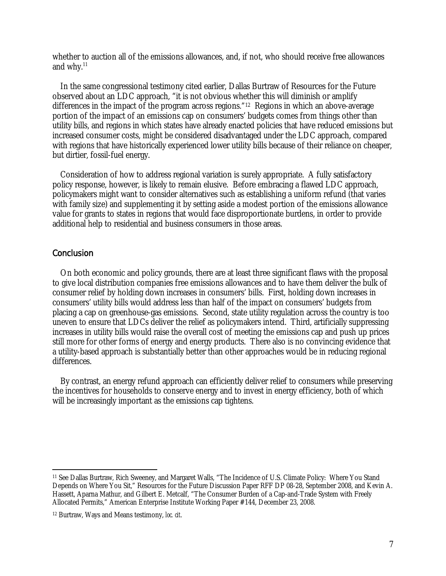whether to auction all of the emissions allowances, and, if not, who should receive free allowances and why. $11$ 

In the same congressional testimony cited earlier, Dallas Burtraw of Resources for the Future observed about an LDC approach, "it is not obvious whether this will diminish or amplify differences in the impact of the program across regions."12Regions in which an above-average portion of the impact of an emissions cap on consumers' budgets comes from things other than utility bills, and regions in which states have already enacted policies that have reduced emissions but increased consumer costs, might be considered disadvantaged under the LDC approach, compared with regions that have historically experienced lower utility bills because of their reliance on cheaper, but dirtier, fossil-fuel energy.

Consideration of how to address regional variation is surely appropriate. A fully satisfactory policy response, however, is likely to remain elusive. Before embracing a flawed LDC approach, policymakers might want to consider alternatives such as establishing a uniform refund (that varies with family size) and supplementing it by setting aside a modest portion of the emissions allowance value for grants to states in regions that would face disproportionate burdens, in order to provide additional help to residential and business consumers in those areas.

### **Conclusion**

On both economic and policy grounds, there are at least three significant flaws with the proposal to give local distribution companies free emissions allowances and to have them deliver the bulk of consumer relief by holding down increases in consumers' bills. First, holding down increases in consumers' utility bills would address less than half of the impact on consumers' budgets from placing a cap on greenhouse-gas emissions. Second, state utility regulation across the country is too uneven to ensure that LDCs deliver the relief as policymakers intend. Third, artificially suppressing increases in utility bills would raise the overall cost of meeting the emissions cap and push up prices still more for other forms of energy and energy products. There also is no convincing evidence that a utility-based approach is substantially better than other approaches would be in reducing regional differences.

By contrast, an energy refund approach can efficiently deliver relief to consumers while preserving the incentives for households to conserve energy and to invest in energy efficiency, both of which will be increasingly important as the emissions cap tightens.

<sup>-</sup>11 See Dallas Burtraw, Rich Sweeney, and Margaret Walls, "The Incidence of U.S. Climate Policy: Where You Stand Depends on Where You Sit," Resources for the Future Discussion Paper RFF DP 08-28, September 2008, and Kevin A. Hassett, Aparna Mathur, and Gilbert E. Metcalf, "The Consumer Burden of a Cap-and-Trade System with Freely Allocated Permits," American Enterprise Institute Working Paper #144, December 23, 2008.

<sup>12</sup> Burtraw, Ways and Means testimony, *loc. cit*.